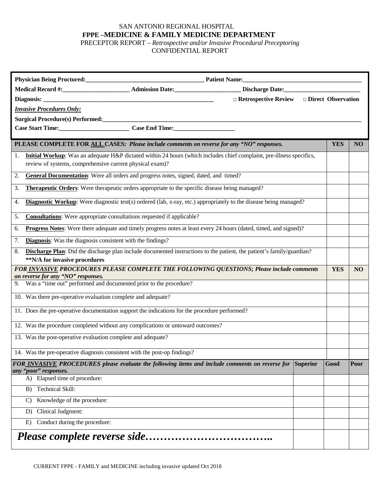## SAN ANTONIO REGIONAL HOSPITAL **FPPE –MEDICINE & FAMILY MEDICINE DEPARTMENT**

PRECEPTOR REPORT – *Retrospective and/or Invasive Procedural Preceptoring* CONFIDENTIAL REPORT

|                                  |                                                                                                                           | Physician Being Proctored: Physician Being Proctored: Physician Being Proctored: |                                                       |          |            |                |  |  |  |  |
|----------------------------------|---------------------------------------------------------------------------------------------------------------------------|----------------------------------------------------------------------------------|-------------------------------------------------------|----------|------------|----------------|--|--|--|--|
|                                  |                                                                                                                           |                                                                                  |                                                       |          |            |                |  |  |  |  |
|                                  |                                                                                                                           |                                                                                  | $\Box$ Retrospective Review $\Box$ Direct Observation |          |            |                |  |  |  |  |
| <b>Invasive Procedures Only:</b> |                                                                                                                           |                                                                                  |                                                       |          |            |                |  |  |  |  |
|                                  |                                                                                                                           |                                                                                  |                                                       |          |            |                |  |  |  |  |
|                                  | Case Start Time:<br><u>Case End Time:</u>                                                                                 |                                                                                  |                                                       |          |            |                |  |  |  |  |
|                                  | PLEASE COMPLETE FOR ALL CASES: Please include comments on reverse for any "NO" responses.                                 |                                                                                  |                                                       |          | <b>YES</b> | N <sub>O</sub> |  |  |  |  |
| 1.                               | Initial Workup: Was an adequate H&P dictated within 24 hours (which includes chief complaint, pre-illness specifics,      |                                                                                  |                                                       |          |            |                |  |  |  |  |
|                                  | review of systems, comprehensive current physical exam)?                                                                  |                                                                                  |                                                       |          |            |                |  |  |  |  |
| 2.                               | General Documentation: Were all orders and progress notes, signed, dated, and timed?                                      |                                                                                  |                                                       |          |            |                |  |  |  |  |
| 3.                               | <b>Therapeutic Orders:</b> Were therapeutic orders appropriate to the specific disease being managed?                     |                                                                                  |                                                       |          |            |                |  |  |  |  |
| 4.                               | <b>Diagnostic Workup:</b> Were diagnostic test(s) ordered (lab, x-ray, etc.) appropriately to the disease being managed?  |                                                                                  |                                                       |          |            |                |  |  |  |  |
| 5.                               | <b>Consultations:</b> Were appropriate consultations requested if applicable?                                             |                                                                                  |                                                       |          |            |                |  |  |  |  |
| 6.                               | Progress Notes: Were there adequate and timely progress notes at least every 24 hours (dated, timed, and signed)?         |                                                                                  |                                                       |          |            |                |  |  |  |  |
| 7.                               | <b>Diagnosis:</b> Was the diagnosis consistent with the findings?                                                         |                                                                                  |                                                       |          |            |                |  |  |  |  |
| 8.                               | Discharge Plan: Did the discharge plan include documented instructions to the patient, the patient's family/guardian?     |                                                                                  |                                                       |          |            |                |  |  |  |  |
|                                  | **N/A for invasive procedures<br>FOR INVASIVE PROCEDURES PLEASE COMPLETE THE FOLLOWING QUESTIONS; Please include comments |                                                                                  |                                                       |          | <b>YES</b> | <b>NO</b>      |  |  |  |  |
|                                  | on reverse for any "NO" responses.                                                                                        |                                                                                  |                                                       |          |            |                |  |  |  |  |
|                                  | 9. Was a "time out" performed and documented prior to the procedure?                                                      |                                                                                  |                                                       |          |            |                |  |  |  |  |
|                                  | 10. Was there pre-operative evaluation complete and adequate?                                                             |                                                                                  |                                                       |          |            |                |  |  |  |  |
|                                  | 11. Does the pre-operative documentation support the indications for the procedure performed?                             |                                                                                  |                                                       |          |            |                |  |  |  |  |
|                                  | 12. Was the procedure completed without any complications or untoward outcomes?                                           |                                                                                  |                                                       |          |            |                |  |  |  |  |
|                                  | 13. Was the post-operative evaluation complete and adequate?                                                              |                                                                                  |                                                       |          |            |                |  |  |  |  |
|                                  | 14. Was the pre-operative diagnosis consistent with the post-op findings?                                                 |                                                                                  |                                                       |          |            |                |  |  |  |  |
|                                  | FOR INVASIVE PROCEDURES please evaluate the following items and include comments on reverse for<br>any "poor" responses.  |                                                                                  |                                                       | Superior | Good       | Poor           |  |  |  |  |
|                                  | A) Elapsed time of procedure:                                                                                             |                                                                                  |                                                       |          |            |                |  |  |  |  |
|                                  | B) Technical Skill:                                                                                                       |                                                                                  |                                                       |          |            |                |  |  |  |  |
|                                  | Knowledge of the procedure:<br>C)                                                                                         |                                                                                  |                                                       |          |            |                |  |  |  |  |
|                                  | Clinical Judgment:<br>D)                                                                                                  |                                                                                  |                                                       |          |            |                |  |  |  |  |
|                                  | Conduct during the procedure:<br>E)                                                                                       |                                                                                  |                                                       |          |            |                |  |  |  |  |
|                                  |                                                                                                                           |                                                                                  |                                                       |          |            |                |  |  |  |  |